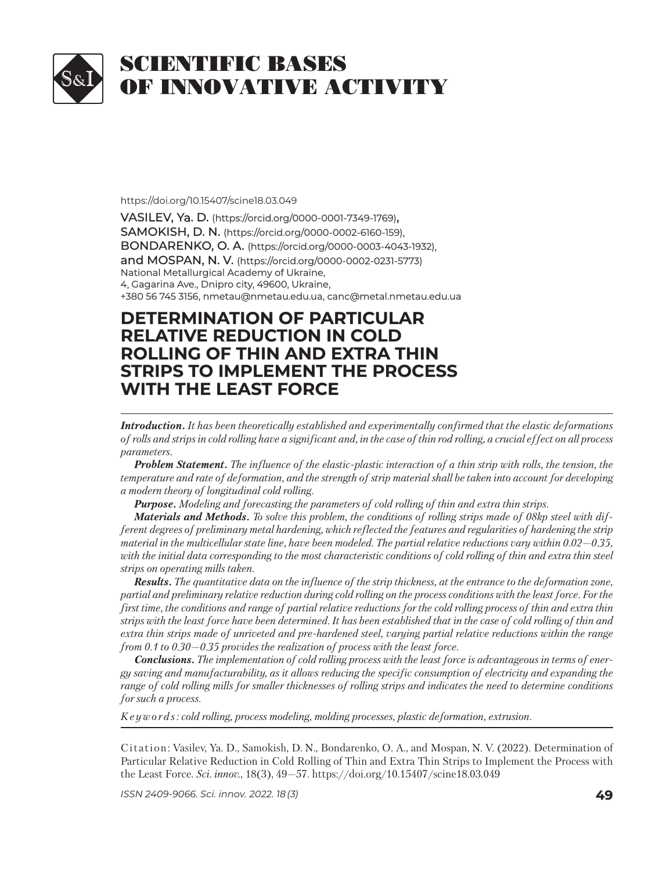

https://doi.org/10.15407/scine18.03.049

VASILEV, Ya. D. (https://orcid.org/0000-0001-7349-1769), SAMOKISH, D. N. (https://orcid.org/0000-0002-6160-159), BONDARENKO, O. A. (https://orcid.org/0000-0003-4043-1932), and MOSPAN, N. V. (https://orcid.org/0000-0002-0231-5773) National Metallurgical Academy of Ukraine, 4, Gagarina Ave., Dnipro city, 49600, Ukraine, +380 56 745 3156, nmetau@nmetau.edu.ua, canc@metal.nmetau.edu.ua

## **DETERMINATION OF PARTICULAR ETERMINATION OF PARTICULAR RELATIVE REDUCTION IN COLD ELATIVE REDUCTION IN COLD ROLLING OF THIN AND EXTRA THIN OLLING OF THIN AND EXTRA THIN STRIPS TO IMPLEMENT THE PROCESS TRIPS TO IMPLEMENT THE PROCESS WITH THE LEAST FORCE**

*Introduction. It has been theoretically established and experimentally confirmed that the elastic deformations of rolls and strips in cold rolling have a significant and, in the case of thin rod rolling, a crucial effect on all process parameters.* 

*Problem Statement. The influence of the elastic-plastic interaction of a thin strip with rolls, the tension, the temperature and rate of deformation, and the strength of strip material shall be taken into account for developing a modern theory of longitudinal cold rolling.*

*Purpose. Modeling and forecasting the parameters of cold rolling of thin and extra thin strips.*

*Materials and Methods. To solve this problem, the conditions of rolling strips made of 08kp steel with different degrees of preliminary metal hardening, which reflected the features and regularities of hardening the strip material in the multicellular state line, have been modeled. The partial relative reductions vary within 0.02—0.35,*  with the initial data corresponding to the most characteristic conditions of cold rolling of thin and extra thin steel *strips on operating mills taken.*

*Results. The quantitative data on the influence of the strip thickness, at the entrance to the deformation zone, partial and preliminary relative reduction during cold rolling on the process conditions with the least force. For the first time, the conditions and range of partial relative reductions for the cold rolling process of thin and extra thin strips with the least force have been determined. It has been established that in the case of cold rolling of thin and extra thin strips made of unriveted and pre-hardened steel, varying partial relative reductions within the range from 0.1 to 0.30—0.35 provides the realization of process with the least force.*

*Conclusions. The implementation of cold rolling process with the least force is advantageous in terms of energy saving and manufacturability, as it allows reducing the specific consumption of electricity and expanding the range of cold rolling mills for smaller thicknesses of rolling strips and indicates the need to determine conditions for such a process.*

*K e y w o r d s : cold rolling, process modeling, molding processes, plastic deformation, extrusion.*

Citation: Vasilev, Ya. D., Samokish, D. N., Bondarenko, O. A., and Mospan, N. V. (2022). Determination of Particular Relative Reduction in Cold Rolling of Thin and Extra Thin Strips to Implement the Process with the Least Force. *Sci. in nov.*, 18(3), 49—57. https://doi.org/ 10.15407/scine18.03.049

*ISSN 2409-9066. Sci. innov.* 2022. 18 (3) **49**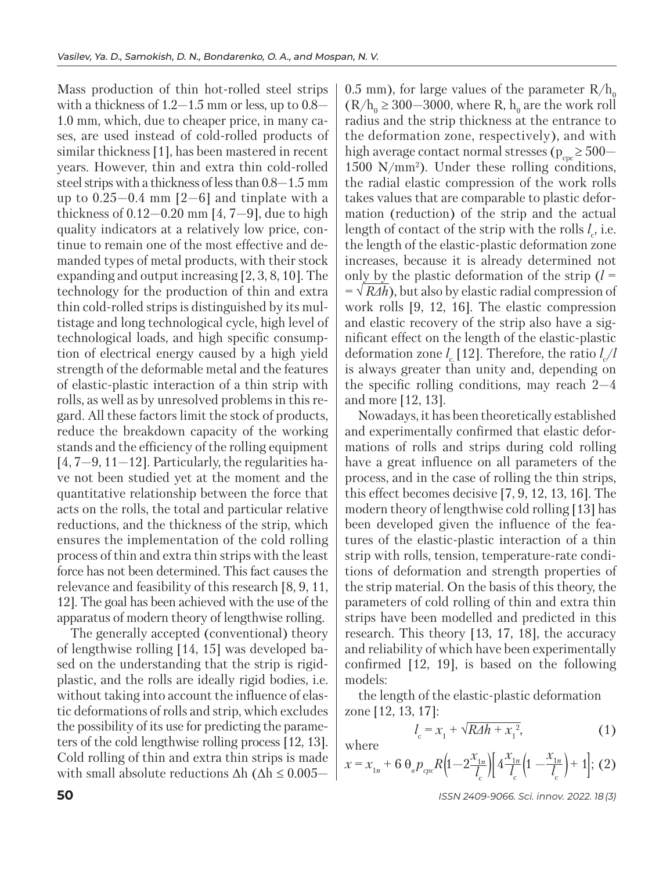Mass production of thin hot-rolled steel strips with a thickness of  $1.2-1.5$  mm or less, up to  $0.8-$ 1.0 mm, which, due to cheaper price, in many cases, are used instead of cold-rolled products of similar thickness [1], has been mastered in recent years. However, thin and extra thin cold-rolled steel strips with a thickness of less than 0.8—1.5 mm up to  $0.25-0.4$  mm  $[2-6]$  and tinplate with a thickness of  $0.12-0.20$  mm  $[4, 7-9]$ , due to high quality indicators at a relatively low price, continue to remain one of the most effective and demanded types of metal products, with their stock expanding and output increasing [2, 3, 8, 10]. The technology for the production of thin and extra thin cold-rolled strips is distinguished by its multistage and long technological cycle, high level of technological loads, and high specific consumption of electrical energy caused by a high yield strength of the deformable metal and the features of elastic-plastic interaction of a thin strip with rolls, as well as by unresolved problems in this regard. All these factors limit the stock of products, reduce the breakdown capacity of the working stands and the efficiency of the rolling equipment  $[4, 7-9, 11-12]$ . Particularly, the regularities have not been studied yet at the moment and the quantitative relationship between the force that acts on the rolls, the total and particular relative reductions, and the thickness of the strip, which ensures the implementation of the cold rolling process of thin and extra thin strips with the least force has not been determined. This fact causes the relevance and feasibility of this research [8, 9, 11, 12]. The goal has been achieved with the use of the apparatus of modern theory of lengthwise rolling.

The generally accepted (conventional) theory of lengthwise rolling [14, 15] was developed based on the understanding that the strip is rigidplastic, and the rolls are ideally rigid bodies, i.e. without taking into account the influence of elastic deformations of rolls and strip, which excludes the possibility of its use for predicting the parameters of the cold lengthwise rolling process [12, 13]. Cold rolling of thin and extra thin strips is made with small absolute reductions  $\Delta h$  ( $\Delta h \leq 0.005$ — 0.5 mm), for large values of the parameter  $R/h_0$  $(R/h_0 \ge 300-3000)$ , where R, h<sub>0</sub> are the work roll radius and the strip thickness at the entrance to the deformation zone, respectively), and with high average contact normal stresses ( $p_{\text{enc}} \ge 500$ — 1500 N/mm2 ). Under these rolling conditions, the radial elastic compression of the work rolls takes values that are comparable to plastic deformation (reduction) of the strip and the actual length of contact of the strip with the rolls  $l_c$ , i.e. the length of the elastic-plastic deformation zone increases, because it is already determined not only by the plastic deformation of the strip  $(l =$ = √ *RΔh*), but also by elastic radial compression of work rolls [9, 12, 16]. The elastic compression and elastic recovery of the strip also have a significant effect on the length of the elastic-plastic deformation zone  $l_c$  [12]. Therefore, the ratio  $l_c/l$ is always greater than unity and, depending on the specific rolling conditions, may reach 2—4 and more [12, 13].

Nowadays, it has been theoretically established and experimentally confirmed that elastic deformations of rolls and strips during cold rolling have a great influence on all parameters of the process, and in the case of rolling the thin strips, this effect becomes decisive [7, 9, 12, 13, 16]. The modern theory of lengthwise cold rolling [13] has been developed given the influence of the features of the elastic-plastic interaction of a thin strip with rolls, tension, temperature-rate conditions of deformation and strength properties of the strip material. On the basis of this theory, the parameters of cold rolling of thin and extra thin strips have been modelled and predicted in this research. This theory [13, 17, 18], the accuracy and reliability of which have been experimentally confirmed [12, 19], is based on the following models:

the length of the elastic-plastic deformation zone [12, 13, 17]:

$$
l_{\rm c} = x_1 + \sqrt{RAh + x_1^2},\tag{1}
$$

where

$$
x = x_{1n} + 6 \theta_e p_{cpc} R \left( 1 - 2 \frac{x_{1n}}{l_c} \right) \left[ 4 \frac{x_{1n}}{l_c} \left( 1 - \frac{x_{1n}}{l_c} \right) + 1 \right]; (2)
$$

**50** *ISSN 2409-9066. Sci. innov.* 2022. 18 (3)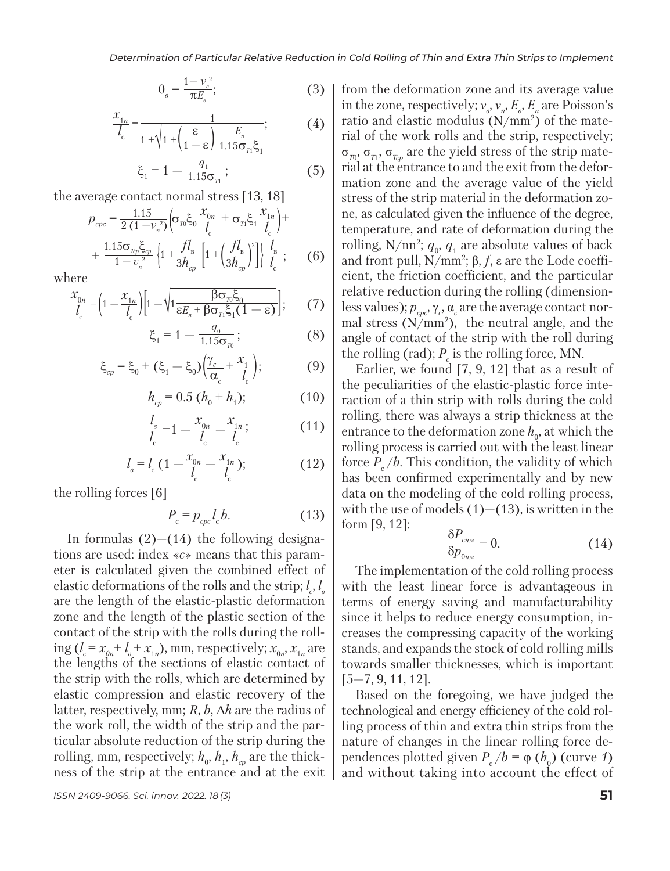$$
\theta_e = \frac{1 - \nu_e^2}{\pi E_e};\tag{3}
$$

$$
\frac{x_{1n}}{l_c} = \frac{1}{1 + \sqrt{1 + \left(\frac{\varepsilon}{1 - \varepsilon}\right) \frac{E_n}{1.15 \sigma_n \xi_1}}};
$$
(4)

$$
\xi_1 = 1 - \frac{q_1}{1.15\sigma_{\rm r1}}; \tag{5}
$$

the average contact normal stress [13, 18]

$$
p_{cpc} = \frac{1.15}{2(1 - V_n^2)} \Big( \sigma_{r0} \xi_0 \frac{x_{0n}}{l_c} + \sigma_{r1} \xi_1 \frac{x_{1n}}{l_c} \Big) + \frac{1.15 \sigma_{r0} \xi_{cp}}{1 - v_n^2} \Big\{ 1 + \frac{f l_B}{3h_{cp}} \Big[ 1 + \Big( \frac{f l_B}{3h_{cp}} \Big)^2 \Big] \Big\} \frac{l_B}{l_c};\qquad(6)
$$

where

$$
\frac{x_{0n}}{l_c} = \left(1 - \frac{x_{1n}}{l_c}\right) \left[1 - \sqrt{1 - \frac{\beta \sigma_n \xi_0}{\epsilon E_n + \beta \sigma_n \xi_1 (1 - \epsilon)}}\right];\tag{7}
$$
\n
$$
\xi_1 = 1 - \frac{q_0}{115\sigma_i};\tag{8}
$$

$$
=1-\frac{q_0}{1.15\sigma_{\eta_0}};
$$
 (8)

$$
\xi_{cp} = \xi_0 + (\xi_1 - \xi_0) \left( \frac{\gamma_c}{\alpha_c} + \frac{x_1}{l_c} \right); \tag{9}
$$

$$
h_{cp} = 0.5 \left( h_0 + h_1 \right); \tag{10}
$$

$$
\frac{l_a}{l_c} = 1 - \frac{x_{0n}}{l_c} - \frac{x_{1n}}{l_c};
$$
\n(11)

$$
l_{\scriptscriptstyle e} = l_{\scriptscriptstyle c} \left( 1 - \frac{x_{\scriptscriptstyle 0n}}{l_{\scriptscriptstyle c}} - \frac{x_{\scriptscriptstyle 1n}}{l_{\scriptscriptstyle c}} \right); \tag{12}
$$

the rolling forces [6]

$$
P_{\rm c} = p_{\rm cpc} l_{\rm c} b. \tag{13}
$$

In formulas  $(2)$ — $(14)$  the following designations are used: index «*с*» means that this parameter is calculated given the combined effect of elastic deformations of the rolls and the strip;  $l_c$ ,  $l_e$ are the length of the elastic-plastic deformation zone and the length of the plastic section of the contact of the strip with the rolls during the rolling  $(l_c = x_{0n} + l_e + x_{1n})$ , mm, respectively;  $x_{0n}$ ,  $x_{1n}$  are the lengths of the sections of elastic contact of the strip with the rolls, which are determined by elastic compression and elastic recovery of the latter, respectively, mm; *R*, *b*, Δ*h* are the radius of the work roll, the width of the strip and the particular absolute reduction of the strip during the rolling, mm, respectively;  $h_{\scriptscriptstyle 0},\,h_{\scriptscriptstyle 1},\,h_{\scriptscriptstyle cp}$  are the thickness of the strip at the entrance and at the exit

from the deformation zone and its average value in the zone, respectively;  $v_{\scriptscriptstyle g}$ ,  $v_{\scriptscriptstyle n}$ ,  $E_{\scriptscriptstyle g}$ ,  $E_{\scriptscriptstyle n}$  are Poisson's ratio and elastic modulus  $(N/mm^2)$  of the material of the work rolls and the strip, respectively;  $\sigma_{T_0}$ ,  $\sigma_{T_1}$ ,  $\sigma_{T_{cp}}$  are the yield stress of the strip material at the entrance to and the exit from the deformation zone and the average value of the yield stress of the strip material in the deformation zone, as calculated given the influence of the degree, temperature, and rate of deformation during the rolling,  $N/nn^2$ ;  $q_0$ ,  $q_1$  are absolute values of back and front pull, N/mm2 ; β, *f*, ε are the Lode coefficient, the friction coefficient, and the particular relative reduction during the rolling (dimensionless values);  $p_{cpc}, \gamma_c, \alpha_c$  are the average contact normal stress  $(N/mm^2)$ , the neutral angle, and the angle of contact of the strip with the roll during the rolling (rad);  $P_c$  is the rolling force, MN.

Earlier, we found [7, 9, 12] that as a result of the peculiarities of the elastic-plastic force interaction of a thin strip with rolls during the cold rolling, there was always a strip thickness at the entrance to the deformation zone  $h_0$ , at which the rolling process is carried out with the least linear force  $P_c/b$ . This condition, the validity of which has been confirmed experimentally and by new data on the modeling of the cold rolling process, with the use of models  $(1)$  – $(13)$ , is written in the form [9, 12]:

$$
\frac{\delta P_{_{\text{CHM}}}}{\delta p_{_{0\text{HM}}}} = 0. \tag{14}
$$

The implementation of the cold rolling process with the least linear force is advantageous in terms of energy saving and manufacturability since it helps to reduce energy consumption, increases the compressing capacity of the working stands, and expands the stock of cold rolling mills towards smaller thicknesses, which is important [5—7, 9, 11, 12].

Based on the foregoing, we have judged the technological and energy efficiency of the cold rolling process of thin and extra thin strips from the nature of changes in the linear rolling force dependences plotted given  $P_c/b = \varphi(h_0)$  (curve *1*) and without taking into account the effect of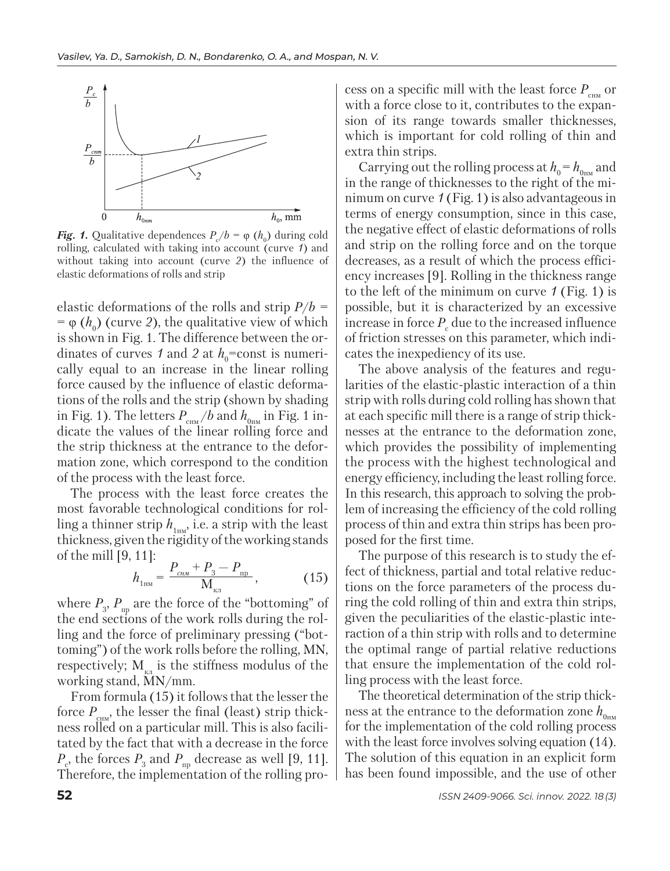

*Fig. 1.* Qualitative dependences  $P_c/b = \varphi(h_0)$  during cold rolling, calculated with taking into account (curve *1*) and without taking into account (curve *2*) the influence of elastic deformations of rolls and strip

elastic deformations of the rolls and strip *Р*/*b =*  $= \varphi(h_0)$  (curve 2), the qualitative view of which is shown in Fig. 1. The difference between the ordinates of curves 1 and 2 at  $h_0$ =const is numerically equal to an increase in the linear rolling force caused by the influence of elastic deformations of the rolls and the strip (shown by shading in Fig. 1). The letters  $P_{_{\textrm{\tiny CHM}}}/b$  and  $h_{_{\textrm{\tiny OHM}}}$  in Fig. 1 indicate the values of the linear rolling force and the strip thickness at the entrance to the deformation zone, which correspond to the condition of the process with the least force.

The process with the least force creates the most favorable technological conditions for rolling a thinner strip  $h_{1m}$ , i.e. a strip with the least thickness, given the rigidity of the working stands of the mill [9, 11]:

$$
h_{1_{\rm HM}} = \frac{P_{\rm c_{\rm HM}} + P_3 - P_{\rm np}}{M_{\rm K,1}},\tag{15}
$$

where  $P_3$ ,  $P_{\text{np}}$  are the force of the "bottoming" of the end sections of the work rolls during the rolling and the force of preliminary pressing ("bottoming") of the work rolls before the rolling, МN, respectively;  $M_{\kappa\pi}$  is the stiffness modulus of the working stand, МN/mm.

From formula (15) it follows that the lesser the force  $P_{\text{cm}i}$ , the lesser the final (least) strip thickness rolled on a particular mill. This is also facilitated by the fact that with a decrease in the force  $P_c$ , the forces  $P_3$  and  $P_{\text{np}}$  decrease as well [9, 11]. Therefore, the implementation of the rolling process on a specific mill with the least force *Р*снм or with a force close to it, contributes to the expansion of its range towards smaller thicknesses, which is important for cold rolling of thin and extra thin strips.

Carrying out the rolling process at  $h_0 = h_{0H}$  and in the range of thicknesses to the right of the minimum on curve *1* (Fig. 1) is also advantageous in terms of energy consumption, since in this case, the negative effect of elastic deformations of rolls and strip on the rolling force and on the torque decreases, as a result of which the process efficiency increases [9]. Rolling in the thickness range to the left of the minimum on curve *1* (Fig. 1) is possible, but it is characterized by an excessive increase in force  $P_c$  due to the increased influence of friction stresses on this parameter, which indicates the inexpediency of its use.

The above analysis of the features and regularities of the elastic-plastic interaction of a thin strip with rolls during cold rolling has shown that at each specific mill there is a range of strip thicknesses at the entrance to the deformation zone, which provides the possibility of implementing the process with the highest technological and energy efficiency, including the least rolling force. In this research, this approach to solving the problem of increasing the efficiency of the cold rolling process of thin and extra thin strips has been proposed for the first time.

The purpose of this research is to study the effect of thickness, partial and total relative reductions on the force parameters of the process during the cold rolling of thin and extra thin strips, given the peculiarities of the elastic-plastic interaction of a thin strip with rolls and to determine the optimal range of partial relative reductions that ensure the implementation of the cold rolling process with the least force.

The theoretical determination of the strip thickness at the entrance to the deformation zone  $h_{0\text{max}}$ for the implementation of the cold rolling process with the least force involves solving equation (14). The solution of this equation in an explicit form has been found impossible, and the use of other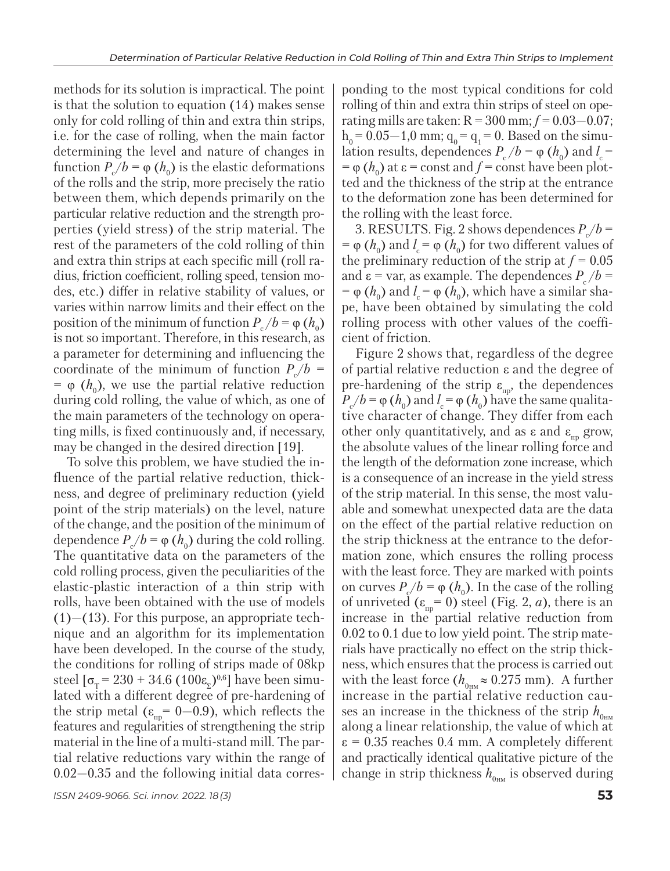methods for its solution is impractical. The point is that the solution to equation (14) makes sense only for cold rolling of thin and extra thin strips, i.e. for the case of rolling, when the main factor determining the level and nature of changes in function  $P_c/b = \varphi(h_0)$  is the elastic deformations of the rolls and the strip, more precisely the ratio between them, which depends primarily on the particular relative reduction and the strength properties (yield stress) of the strip material. The rest of the parameters of the cold rolling of thin and extra thin strips at each specific mill (roll radius, friction coefficient, rolling speed, tension modes, etc.) differ in relative stability of values, or varies within narrow limits and their effect on the position of the minimum of function  $P_c/b = \varphi(h_0)$ is not so important. Therefore, in this research, as a parameter for determining and influencing the coordinate of the minimum of function *Р*<sup>с</sup> /*b =*  $= \varphi(h_0)$ , we use the partial relative reduction during cold rolling, the value of which, as one of the main parameters of the technology on operating mills, is fixed continuously and, if necessary, may be changed in the desired direction [19].

To solve this problem, we have studied the influence of the partial relative reduction, thickness, and degree of preliminary reduction (yield point of the strip materials) on the level, nature of the change, and the position of the minimum of dependence  $P_c/b = \varphi(h_0)$  during the cold rolling. The quantitative data on the parameters of the cold rolling process, given the peculiarities of the elastic-plastic interaction of a thin strip with rolls, have been obtained with the use of models  $(1)$ — $(13)$ . For this purpose, an appropriate technique and an algorithm for its implementation have been developed. In the course of the study, the conditions for rolling of strips made of 08kp steel  $\lceil \sigma_{\rm r} = 230 + 34.6 \ (100 \varepsilon_{\rm r})^{0.6} \rceil$  have been simulated with a different degree of pre-hardening of the strip metal ( $\varepsilon_{\text{np}}$  = 0–0.9), which reflects the features and regularities of strengthening the strip material in the line of a multi-stand mill. The partial relative reductions vary within the range of 0.02—0.35 and the following initial data corres-

*ISSN 2409-9066. Sci. innov.* 2022. 18 (3) **53**

ponding to the most typical conditions for cold rolling of thin and extra thin strips of steel on operating mills are taken:  $R = 300$  mm;  $f = 0.03 - 0.07$ ;  $h_0 = 0.05 - 1.0$  mm;  $q_0 = q_1 = 0$ . Based on the simulation results, dependences  $P_c/b = \varphi(h_0)$  and  $l_c =$  $=\varphi(h_0)$  at  $\varepsilon$  = const and *f* = const have been plotted and the thickness of the strip at the entrance to the deformation zone has been determined for the rolling with the least force.

3. RESULTS. Fig. 2 shows dependences  $P_c/b =$ =  $\varphi$  (*h*<sub>0</sub>) and *l*<sub>c</sub> =  $\varphi$  (*h*<sub>0</sub>) for two different values of the preliminary reduction of the strip at  $f = 0.05$ and  $\varepsilon$  = var, as example. The dependences  $P_c/b$  =  $=$  φ (*h*<sub>0</sub>) and *l*<sub>c</sub> = φ (*h*<sub>0</sub>), which have a similar shape, have been obtained by simulating the cold rolling process with other values of the coefficient of friction.

Figure 2 shows that, regardless of the degree of partial relative reduction ε and the degree of pre-hardening of the strip  $\varepsilon_{\text{m}}$ , the dependences  $P_c/b = \varphi(h_0)$  and  $l_c = \varphi(h_0)$  have the same qualitative character of change. They differ from each other only quantitatively, and as  $\varepsilon$  and  $\varepsilon_{\text{m}}$  grow, the absolute values of the linear rolling force and the length of the deformation zone increase, which is a consequence of an increase in the yield stress of the strip material. In this sense, the most valuable and somewhat unexpected data are the data on the effect of the partial relative reduction on the strip thickness at the entrance to the deformation zone, which ensures the rolling process with the least force. They are marked with points on curves  $P_{\rm g}/b = \varphi(h_0)$ . In the case of the rolling of unriveted  $(\varepsilon_{\text{np}} = 0)$  steel (Fig. 2, *a*), there is an increase in the partial relative reduction from 0.02 to 0.1 due to low yield point. The strip materials have practically no effect on the strip thickness, which ensures that the process is carried out with the least force ( $h_{0<sub>HM</sub>} \approx 0.275$  mm). A further increase in the partial relative reduction causes an increase in the thickness of the strip  $h_{0\text{nm}}$ along a linear relationship, the value of which at  $\varepsilon$  = 0.35 reaches 0.4 mm. A completely different and practically identical qualitative picture of the change in strip thickness  $h_{0_{\text{HM}}}$  is observed during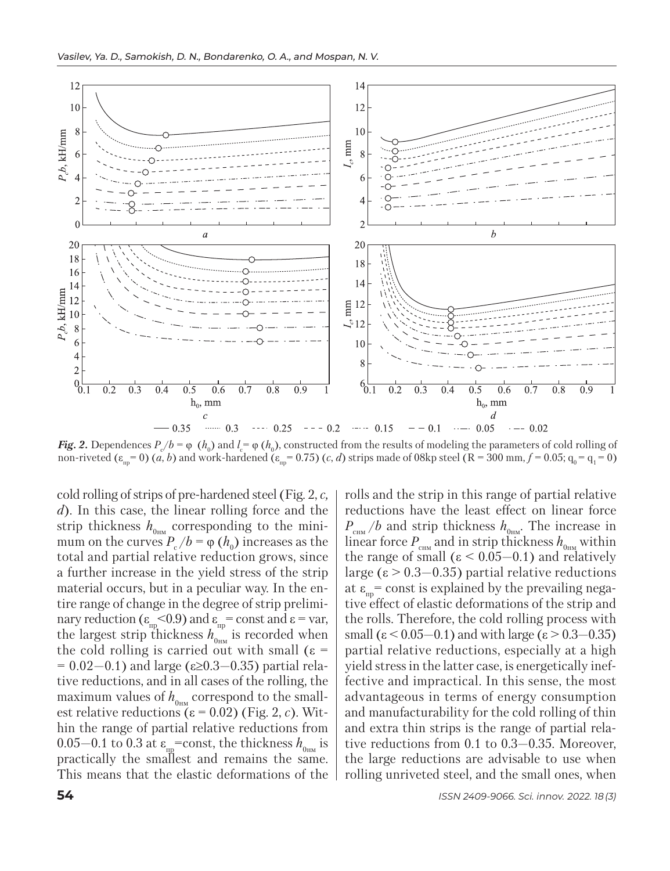

*Fig. 2.* Dependences  $P_c/b = \varphi(h_0)$  and  $l_c = \varphi(h_0)$ , constructed from the results of modeling the parameters of cold rolling of non-riveted  $(\varepsilon_{\text{mp}} = 0)$  (*a*, *b*) and work-hardened ( $\varepsilon_{\text{mp}} = 0.75$ ) (*c*, *d*) strips made of 08kp steel (R = 300 mm,  $f = 0.05$ ;  $q_0 = q_1 = 0$ )

cold rolling of strips of pre-hardened steel (Fig. 2, *c, d*). In this case, the linear rolling force and the strip thickness  $h_{0<sub>HM</sub>}$  corresponding to the minimum on the curves  $P_c/b = \varphi(h_0)$  increases as the total and partial relative reduction grows, since a further increase in the yield stress of the strip material occurs, but in a peculiar way. In the entire range of change in the degree of strip preliminary reduction ( $\varepsilon_{\text{np}}$ <0.9) and  $\varepsilon_{\text{np}}$  = const and  $\varepsilon$  = var, the largest strip thickness  $h_{0_{\text{HM}}}$  is recorded when the cold rolling is carried out with small  $(ε =$  $= 0.02 - 0.1$ ) and large (ε≥0.3–0.35) partial relative reductions, and in all cases of the rolling, the maximum values of  $h_{0\mu\text{M}}$  correspond to the smallest relative reductions  $(ε = 0.02)$  (Fig. 2, *c*). Within the range of partial relative reductions from 0.05–0.1 to 0.3 at  $\varepsilon_{\text{m}}$ =const, the thickness  $h_{0_{\text{HM}}}$  is practically the smallest and remains the same. This means that the elastic deformations of the

rolls and the strip in this range of partial relative reductions have the least effect on linear force  $P_{\text{cm}}/b$  and strip thickness  $h_{\text{0-m}}$ . The increase in linear force  $P_{\text{CHM}}$  and in strip thickness  $h_{0_{\text{HM}}}$  within the range of small  $(ε < 0.05-0.1)$  and relatively large (ε > 0.3—0.35) partial relative reductions at  $\varepsilon_m$  const is explained by the prevailing negative effect of elastic deformations of the strip and the rolls. Therefore, the cold rolling process with small ( $\varepsilon$  < 0.05–0.1) and with large ( $\varepsilon$  > 0.3–0.35) partial relative reductions, especially at a high yield stress in the latter case, is energetically ineffective and impractical. In this sense, the most ad vantageous in terms of energy consumption and manufacturability for the cold rolling of thin and extra thin strips is the range of partial relative reductions from 0.1 to 0.3—0.35. Moreover, the large reductions are advisable to use when rolling unriveted steel, and the small ones, when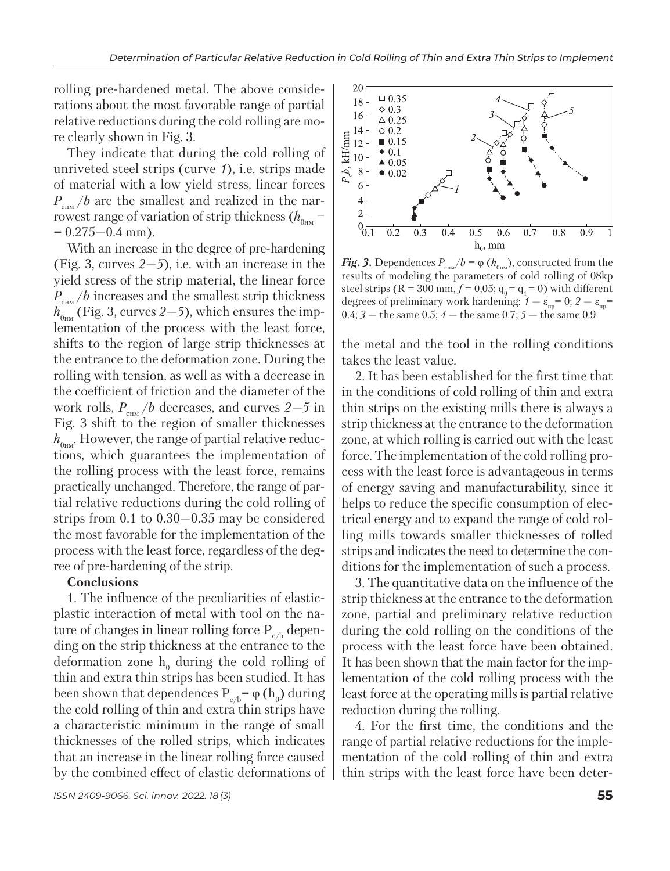rolling pre-hardened metal. The above considerations about the most favorable range of partial relative reductions during the cold rolling are more clearly shown in Fig. 3.

They indicate that during the cold rolling of unriveted steel strips (curve *1*), i.e. strips made of material with a low yield stress, linear forces  $P_{\text{cm}}/b$  are the smallest and realized in the narrowest range of variation of strip thickness  $(h_{0_{\text{HM}}}=$  $= 0.275 - 0.4$  mm).

With an increase in the degree of pre-hardening (Fig. 3, curves *2—5*), i.e. with an increase in the yield stress of the strip material, the linear force *P*<sub>cuM</sub> /*b* increases and the smallest strip thickness  $h_{0_{HW}}$  (Fig. 3, curves 2–5), which ensures the implementation of the process with the least force, shifts to the region of large strip thicknesses at the entrance to the deformation zone. During the rolling with tension, as well as with a decrease in the coefficient of friction and the diameter of the work rolls, *Р*снм /*b* decreases, and curves *2—5* in Fig. 3 shift to the region of smaller thicknesses  $h_{0\mu\nu}$ . However, the range of partial relative reductions, which guarantees the implementation of the rolling process with the least force, remains practically unchanged. Therefore, the range of partial relative reductions during the cold rolling of strips from 0.1 to 0.30—0.35 may be considered the most favorable for the implementation of the process with the least force, regardless of the degree of pre-hardening of the strip.

## **Conclusions**

1. The influence of the peculiarities of elasticplastic interaction of metal with tool on the nature of changes in linear rolling force  $P_{ch}$  depending on the strip thickness at the entrance to the deformation zone  $h_0$  during the cold rolling of thin and extra thin strips has been studied. It has been shown that dependences  $P_{c/b} = \varphi(h_0)$  during the cold rolling of thin and extra thin strips have a characteristic minimum in the range of small thicknesses of the rolled strips, which indicates that an increase in the linear rolling force caused by the combined effect of elastic deformations of



*Fig.* 3. Dependences  $P_{\text{cm}}/b = \varphi(h_{0_{\text{H}M}})$ , constructed from the results of modeling the parameters of cold rolling of 08kp steel strips ( $R = 300$  mm,  $f = 0.05$ ;  $q_0 = q_1 = 0$ ) with different degrees of preliminary work hardening:  $1 - \varepsilon_{\rm m} = 0$ ;  $2 - \varepsilon_{\rm m} =$ 0.4;  $3 -$  the same 0.5;  $4 -$  the same 0.7;  $5 -$  the same 0.9

the metal and the tool in the rolling conditions takes the least value.

2. It has been established for the first time that in the conditions of cold rolling of thin and extra thin strips on the existing mills there is always a strip thickness at the entrance to the deformation zone, at which rolling is carried out with the least force. The implementation of the cold rolling process with the least force is advantageous in terms of energy saving and manufacturability, since it helps to reduce the specific consumption of electrical energy and to expand the range of cold rolling mills towards smaller thicknesses of rolled strips and indicates the need to determine the conditions for the implementation of such a process.

3. The quantitative data on the influence of the strip thickness at the entrance to the deformation zone, partial and preliminary relative reduction during the cold rolling on the conditions of the process with the least force have been obtained. It has been shown that the main factor for the implementation of the cold rolling process with the least force at the operating mills is partial relative reduction during the rolling.

4. For the first time, the conditions and the range of partial relative reductions for the implementation of the cold rolling of thin and extra thin strips with the least force have been deter-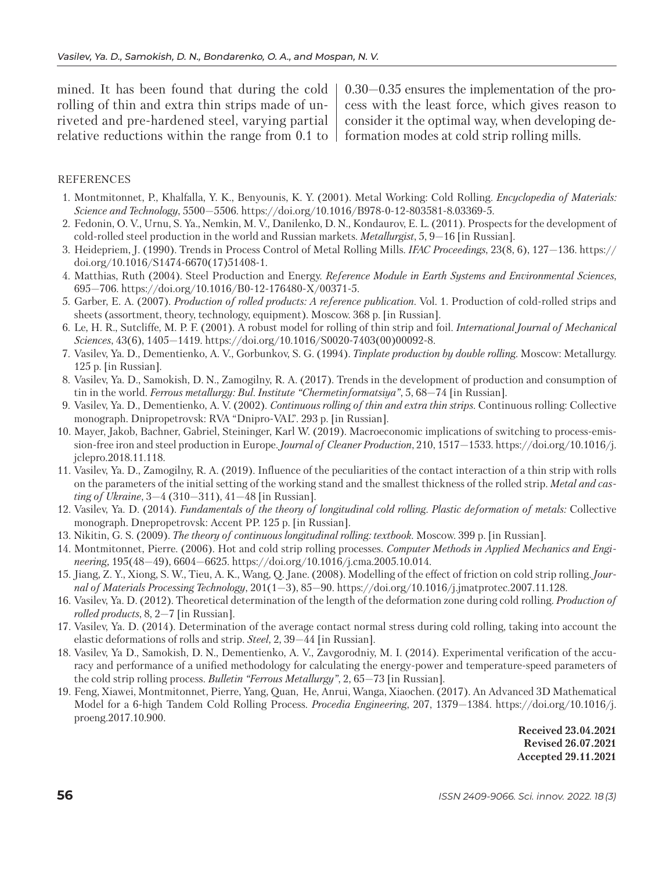mined. It has been found that during the cold rolling of thin and extra thin strips made of unriveted and pre-hardened steel, varying partial relative reductions within the range from 0.1 to

0.30—0.35 ensures the implementation of the process with the least force, which gives reason to consider it the optimal way, when developing deformation modes at cold strip rolling mills.

## REFERENCES

- 1. Montmitonnet, P., Khalfalla, Y. K., Benyounis, K. Y. (2001). Metal Working: Cold Rolling. *Encyclopedia of Materials: Science and Technology*, 5500—5506. https://doi.org/10.1016/B978-0-12-803581-8.03369-5.
- 2. Fedonin, O. V., Urnu, S. Ya., Nemkin, M. V., Danilenko, D. N., Kondaurov, E. L. (2011). Prospects for the development of cold-rolled steel production in the world and Russian markets. *Metallurgist*, 5, 9—16 [in Russian].
- 3. Heidepriem, J. (1990). Trends in Process Control of Metal Rolling Mills. *IFAC Proceedings*, 23(8, 6), 127—136. https:// doi.org/10.1016/S1474-6670(17)51408-1.
- 4. Matthias, Ruth (2004). Steel Production and Energy. *Reference Module in Earth Systems and Environmental Sciences*, 695—706. https://doi.org/10.1016/B0-12-176480-X/00371-5.
- 5. Garber, E. A. (2007). *Production of rolled products: A reference publication*. Vol. 1. Production of cold-rolled strips and sheets (assortment, theory, technology, equipment). Moscow. 368 p. [in Russian].
- 6. Le, H. R., Sutcliffe, M. P. F. (2001). A robust model for rolling of thin strip and foil. *International Journal of Mechanical Sciences*, 43(6), 1405—1419. https://doi.org/10.1016/S0020-7403(00)00092-8.
- 7. Vasilev, Ya. D., Dementienko, A. V., Gorbunkov, S. G. (1994). *Tinplate production by double rolling*. Moscow: Metallurgy. 125 p. [in Russian].
- 8. Vasilev, Ya. D., Samokish, D. N., Zamogilny, R. A. (2017). Trends in the development of production and consumption of tin in the world. *Ferrous metallurgy: Bul. Institute "Chermetinformatsiya"*, 5, 68—74 [in Russian].
- 9. Vasilev, Ya. D., Dementienko, A. V. (2002). *Continuous rolling of thin and extra thin strips.* Continuous rolling: Collective monograph. Dnipropetrovsk: RVA "Dnipro-VAL". 293 p. [in Russian].
- 10. Mayer, Jakob, Bachner, Gabriel, Steininger, Karl W. (2019). Macroeconomic implications of switching to process-emission-free iron and steel production in Europe*. Journal of Cleaner Production*, 210, 1517—1533. https://doi.org/10.1016/j. jclepro.2018.11.118.
- 11. Vasilev, Ya. D., Zamogilny, R. A. (2019). Influence of the peculiarities of the contact interaction of a thin strip with rolls on the parameters of the initial setting of the working stand and the smallest thickness of the rolled strip. *Metal and casting of Ukraine*, 3—4 (310—311), 41—48 [in Russian].
- 12. Vasilev, Ya. D. (2014). *Fundamentals of the theory of longitudinal cold rolling. Plastic deformation of metals:* Collective monograph. Dnepropetrovsk: Accent PP. 125 p. [in Russian].
- 13. Nikitin, G. S. (2009). *The theory of continuous longitudinal rolling: textbook*. Moscow. 399 p. [in Russian].
- 14. Montmitonnet, Pierre. (2006). Hot and cold strip rolling processes. *Computer Methods in Applied Mechanics and Engineering,* 195(48—49), 6604—6625. https://doi.org/10.1016/j.cma.2005.10.014.
- 15. Jiang, Z. Y., Xiong, S. W., Tieu, A. K., Wang, Q. Jane. (2008). Modelling of the effect of friction on cold strip rolling. *Journal of Materials Processing Technology*, 201(1—3), 85—90. https://doi.org/10.1016/j.jmatprotec.2007.11.128.
- 16. Vasilev, Ya. D. (2012). Theoretical determination of the length of the deformation zone during cold rolling. *Production of rolled products*, 8, 2—7 [in Russian].
- 17. Vasilev, Ya. D. (2014). Determination of the average contact normal stress during cold rolling, taking into account the elastic deformations of rolls and strip. *Steel*, 2, 39—44 [in Russian].
- 18. Vasilev, Ya D., Samokish, D. N., Dementienko, A. V., Zavgorodniy, M. I. (2014). Experimental verification of the accuracy and performance of a unified methodology for calculating the energy-power and temperature-speed parameters of the cold strip rolling process. *Bulletin "Ferrous Metallurgy"*, 2, 65—73 [in Russian].
- 19. Feng, Xiawei, Montmitonnet, Pierre, Yang, Quan, He, Anrui, Wanga, Xiaochen. (2017). An Advanced 3D Mathematical Model for a 6-high Tandem Cold Rolling Process. *Procedia Engineering*, 207, 1379—1384. https://doi.org/10.1016/j. proeng.2017.10.900.

**Received 23.04.2021 Revised 26.07.2021 Accepted 29.11.2021**